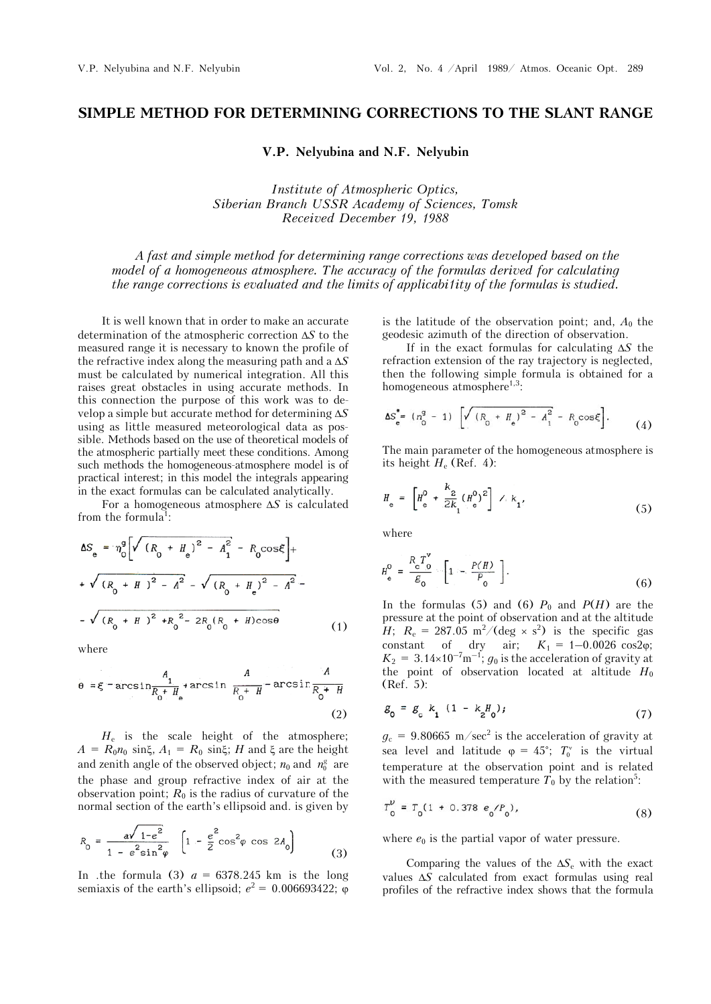## **SIMPLE METHOD FOR DETERMINING CORRECTIONS TO THE SLANT RANGE**

**V.P. Nelyubina and N.F. Nelyubin** 

*Institute of Atmospheric Optics, Siberian Branch USSR Academy of Sciences, Tomsk Received December 19, 1988* 

*A fast and simple method for determining range corrections was developed based on the model of a homogeneous atmosphere. The accuracy of the formulas derived for calculating the range corrections is evaluated and the limits of applicabi1ity of the formulas is studied.* 

It is well known that in order to make an accurate determination of the atmospheric correction  $\Delta S$  to the measured range it is necessary to known the profile of the refractive index along the measuring path and a  $\Delta S$ must be calculated by numerical integration. All this raises great obstacles in using accurate methods. In this connection the purpose of this work was to develop a simple but accurate method for determining *S* using as little measured meteorological data as possible. Methods based on the use of theoretical models of the atmospheric partially meet these conditions. Among such methods the homogeneous-atmosphere model is of practical interest; in this model the integrals appearing in the exact formulas can be calculated analytically.

For a homogeneous atmosphere  $\Delta S$  is calculated from the formula<sup>1</sup>:

$$
\Delta S_e = \eta_0^g \left[ \sqrt{(R_0 + H_e)^2 - A_1^2} - R_0 \cos \xi \right] +
$$
  
+  $\sqrt{(R_0 + H_e)^2 - A^2} - \sqrt{(R_0 + H_e)^2 - A^2} -$   
-  $\sqrt{(R_0 + H_e)^2 + R_0^2 - 2R_0 (R_0 + H) \cos \theta}$  (1)

where

$$
\theta = \xi - \arcsin \frac{A_1}{R_0 + H_e} + \arcsin \frac{A}{R_0 + H} - \arcsin \frac{A}{R_0 + H}
$$
\n(2)

*H*e is the scale height of the atmosphere;  $A = R_0 n_0 \sin \xi$ ,  $A_1 = R_0 \sin \xi$ ; *H* and  $\xi$  are the height and zenith angle of the observed object;  $n_0$  and  $n_0^g$  are the phase and group refractive index of air at the observation point;  $R_0$  is the radius of curvature of the normal section of the earth's ellipsoid and. is given by

$$
R_0 = \frac{a\sqrt{1 - e^2}}{1 - e^2 \sin^2 \varphi} \left[ 1 - \frac{e^2}{2} \cos^2 \varphi \cos 2A_0 \right]
$$
(3)

In .the formula (3)  $a = 6378.245$  km is the long semiaxis of the earth's ellipsoid;  $e^2 = 0.006693422$ ;  $\varphi$  is the latitude of the observation point; and,  $A_0$  the geodesic azimuth of the direction of observation.

If in the exact formulas for calculating  $\Delta S$  the refraction extension of the ray trajectory is neglected, then the following simple formula is obtained for a homogeneous atmosphere<sup>1,3</sup>:

$$
\Delta S_e^* = (n_0^9 - 1) \left[ \sqrt{(R_0 + H_e)^2 - A_1^2} - R_0 \cos \xi \right]. \tag{4}
$$

The main parameter of the homogeneous atmosphere is its height  $H_e$  (Ref. 4):

$$
H_{\rm e} = \left[ H_{\rm e}^0 + \frac{k_2}{2k_1} (H_{\rm e}^0)^2 \right] \wedge k_1,
$$
 (5)

where

$$
H_{\mathbf{e}}^0 = \frac{R_{\mathbf{e}}^T \mathbf{v}^0}{g_0} - \left[1 - \frac{P(H)}{P_0}\right].
$$
 (6)

In the formulas (5) and (6)  $P_0$  and  $P(H)$  are the pressure at the point of observation and at the altitude *H*;  $R_e = 287.05 \text{ m}^2/(\text{deg} \times \text{s}^2)$  is the specific gas constant of dry air;  $K_1 = 1 - 0.0026 \cos 2\varphi$ ;  $K_2 = 3.14 \times 10^{-7} \text{m}^{-1}$ ;  $g_0$  is the acceleration of gravity at the point of observation located at altitude  $H_0$ (Ref. 5):

$$
g_0 = g_c k_1 (1 - k_2 H_0); \tag{7}
$$

 $g_c = 9.80665 \text{ m/sec}^2$  is the acceleration of gravity at sea level and latitude  $\varphi = 45^\circ$ ;  $T_0^\vee$  is the virtual temperature at the observation point and is related with the measured temperature  $T_0$  by the relation<sup>5</sup>:

$$
T_0^{\nu} = T_0 (1 + 0.378 e_0 / P_0), \qquad (8)
$$

where  $e_0$  is the partial vapor of water pressure.

Comparing the values of the  $\Delta S_e$  with the exact values  $\Delta S$  calculated from exact formulas using real profiles of the refractive index shows that the formula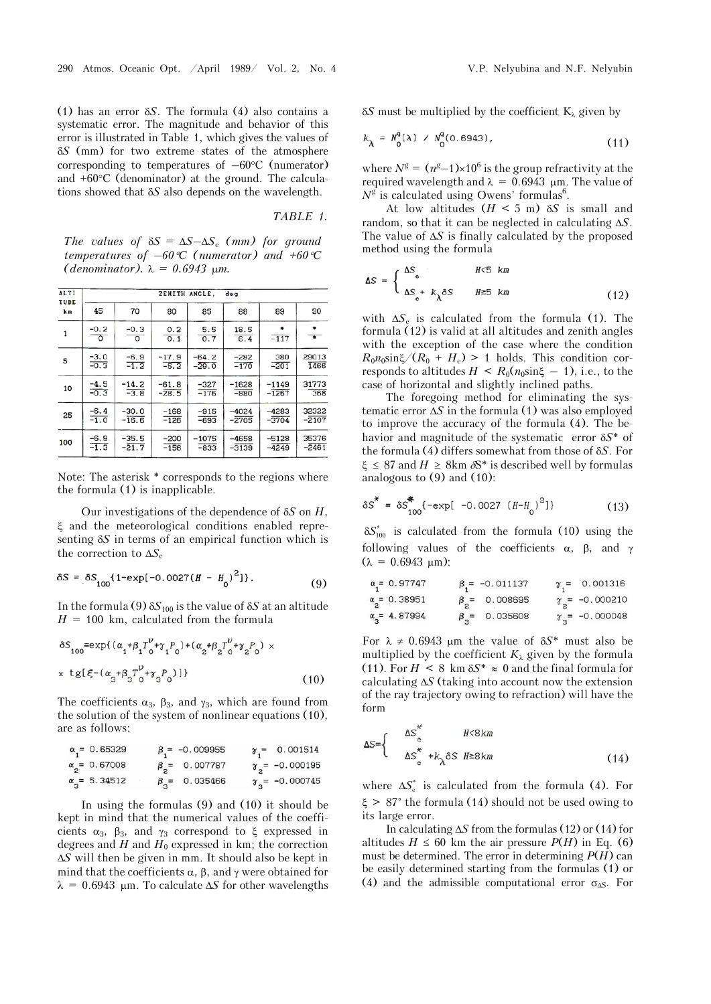(1) has an error *S*. The formula (4) also contains a systematic error. The magnitude and behavior of this error is illustrated in Table 1, which gives the values of *S* (mm) for two extreme states of the atmosphere corresponding to temperatures of  $-60^{\circ}$ C (numerator) and  $+60^{\circ}$ C (denominator) at the ground. The calculations showed that *S* also depends on the wavelength.

*TABLE 1.*

*The values of*  $\delta S = \Delta S - \Delta S_e$  *(mm) for ground temperatures of –60C (numerator) and +60C*  (*denominator*).  $\lambda = 0.6943$   $\mu$ m.

| ALTI<br>TUDE<br>km | ZENITH ANGLE,<br>deg |                          |                    |                    |                    |                    |                          |  |  |  |  |
|--------------------|----------------------|--------------------------|--------------------|--------------------|--------------------|--------------------|--------------------------|--|--|--|--|
|                    | 45                   | 70                       | 80                 | 85                 | 88                 | 89                 | 90                       |  |  |  |  |
| $\mathbf{1}$       | $\frac{6}{-0.2}$     | $-0.3$<br>$\overline{0}$ | 0.2<br>0.1         | 5.5<br>0.7         | 18.5<br>6.4        | $-117$             | $\overline{\phantom{a}}$ |  |  |  |  |
| 5                  | $-3.0$<br>$-0.3$     | $-6.9$<br>$-1.2$         | $-17.9$<br>$-5.2$  | $-64.2$<br>$-29.0$ | $-282$<br>$-170$   | 380<br>$-201$      | 29013<br>1466            |  |  |  |  |
| 10                 | $\frac{-4.5}{-0.3}$  | $-14.2$<br>$-3.8$        | $-61.8$<br>$-28.5$ | $-327$<br>$-176$   | $-1628$<br>$-880$  | $-1149$<br>$-1267$ | 31773<br>368             |  |  |  |  |
| 25                 | $-6.4$<br>$-1.0$     | $-30.0$<br>$-16.6$       | $-168$<br>$-126$   | $-915$<br>$-693$   | $-4024$<br>$-2705$ | $-4283$<br>$-3704$ | 32322<br>$-2107$         |  |  |  |  |
| 100                | $-6.9$<br>$-1.3$     | $-35.5$<br>$-21.7$       | $-200$<br>$-156$   | $-1075$<br>$-833$  | $-4658$<br>$-3139$ | $-5128$<br>$-4249$ | 35376<br>$-2461$         |  |  |  |  |

Note: The asterisk \* corresponds to the regions where the formula (1) is inapplicable.

Our investigations of the dependence of *S* on *H*,  $\xi$  and the meteorological conditions enabled representing *S* in terms of an empirical function which is the correction to  $\Delta S_e$ 

$$
\delta S = \delta S_{100} \{ 1 - \exp[-0.0027 (H - H_0)^2] \}.
$$
 (9)

In the formula (9)  $\delta S_{100}$  is the value of  $\delta S$  at an altitude  $H = 100$  km, calculated from the formula

$$
\delta S_{100} = \exp\{(\alpha_1 + \beta_1 T_0^{\nu} + \gamma_1 P_0) + (\alpha_2 + \beta_2 T_0^{\nu} + \gamma_2 P_0) \times \pi \text{ tg}[ \xi - (\alpha_3 + \beta_3 T_0^{\nu} + \gamma_3 P_0)] \}
$$
\n(10)

The coefficients  $\alpha_3$ ,  $\beta_3$ , and  $\gamma_3$ , which are found from the solution of the system of nonlinear equations (10), are as follows:

| $\alpha_1 = 0.65329$            | $\beta = -0.009955$    | $\gamma_1 = 0.001514$    |
|---------------------------------|------------------------|--------------------------|
| $\alpha_{2} = 0.67008$          | $\beta_{0} = 0.007787$ | $\gamma_{2}$ = -0.000195 |
| $\alpha$ <sub>3</sub> = 5.34512 | $\beta_2$ = 0.035466   | $\gamma_{2}$ = -0.000745 |

In using the formulas (9) and (10) it should be kept in mind that the numerical values of the coefficients  $\alpha_3$ ,  $\beta_3$ , and  $\gamma_3$  correspond to  $\xi$  expressed in degrees and  $H$  and  $H_0$  expressed in km; the correction *S* will then be given in mm. It should also be kept in mind that the coefficients  $\alpha$ ,  $\beta$ , and  $\gamma$  were obtained for  $\lambda = 0.6943$  µm. To calculate  $\Delta S$  for other wavelengths

 $\delta S$  must be multiplied by the coefficient  $K_{\lambda}$  given by

$$
k_{\lambda} = N_0^9(\lambda) \, / \, N_0^9(0.6943), \tag{11}
$$

where  $N^g = (n^g-1) \times 10^6$  is the group refractivity at the required wavelength and  $\lambda = 0.6943$  µm. The value of  $N^g$  is calculated using Owens' formulas<sup>6</sup>.

At low altitudes  $(H \leq 5 \text{ m})$   $\delta S$  is small and random, so that it can be neglected in calculating *S*. The value of  $\Delta S$  is finally calculated by the proposed method using the formula

$$
\Delta S = \begin{cases} \Delta S_e & H < 5 \text{ km} \\ \Delta S_e + k_\lambda \delta S & H \ge 5 \text{ km} \end{cases} \tag{12}
$$

with  $\Delta S_e$  is calculated from the formula (1). The formula (12) is valid at all altitudes and zenith angles with the exception of the case where the condition  $R_0 n_0 \sin \zeta / (R_0 + H_e) > 1$  holds. This condition corresponds to altitudes  $H \leq R_0(n_0 \sin \xi - 1)$ , i.e., to the case of horizontal and slightly inclined paths.

The foregoing method for eliminating the systematic error  $\Delta S$  in the formula (1) was also employed to improve the accuracy of the formula (4). The behavior and magnitude of the systematic error *S*\* of the formula (4) differs somewhat from those of *S*. For  $\xi \leq 87$  and  $H \geq 8$ km  $\delta$ <sup>s</sup> is described well by formulas analogous to  $(9)$  and  $(10)$ :

$$
\delta S^* = \delta S_{100}^* \{-\exp[-0.0027 (H - H_0)^2]\}\tag{13}
$$

 $\delta S_{100}^*$  is calculated from the formula (10) using the following values of the coefficients  $\alpha$ ,  $\beta$ , and  $\gamma$  $(\lambda = 0.6943 \text{ \mu m})$ :

| $\alpha_1 = 0.97747$ | $\beta_1 = -0.011137$ | $\gamma_1 = 0.001316$  |
|----------------------|-----------------------|------------------------|
| $\alpha_2 = 0.38951$ | $\beta_2 = 0.008695$  | $\gamma_2 = -0.000210$ |
| $\alpha_3 = 4.87994$ | $\beta_3 = 0.035608$  | $\gamma_3 = -0.000048$ |

For  $\lambda \neq 0.6943$  µm the value of  $\delta S^*$  must also be multiplied by the coefficient  $K_{\lambda}$  given by the formula (11). For  $H \leq 8 \text{ km } \delta S^* \approx 0$  and the final formula for calculating  $\Delta S$  (taking into account now the extension of the ray trajectory owing to refraction) will have the form

$$
\Delta S = \begin{cases} \Delta S_e^* & H < 8km \\ \Delta S_e^* + k_\lambda \delta S & H \ge 8km \end{cases}
$$
 (14)

where  $\Delta S_{\rho}^*$  is calculated from the formula (4). For  $\xi > 87^{\circ}$  the formula (14) should not be used owing to its large error.

In calculating  $\Delta S$  from the formulas (12) or (14) for altitudes  $H \leq 60$  km the air pressure  $P(H)$  in Eq. (6) must be determined. The error in determining  $P(H)$  can be easily determined starting from the formulas (1) or (4) and the admissible computational error  $\sigma_{\text{AS}}$ . For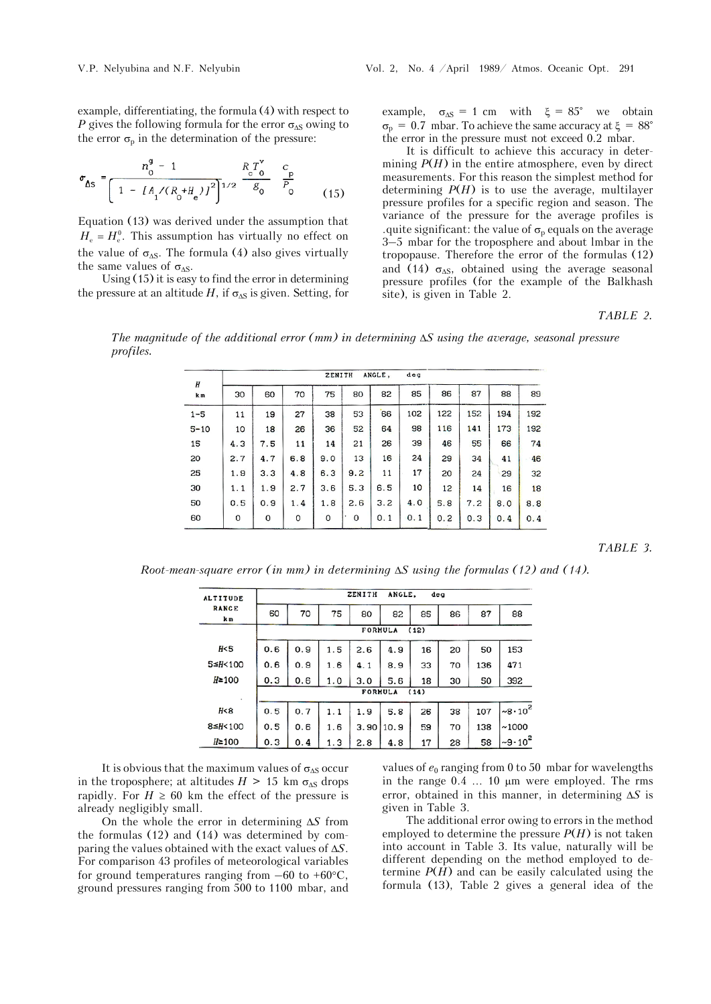example, differentiating, the formula (4) with respect to *P* gives the following formula for the error  $\sigma_{\Delta S}$  owing to the error  $\sigma_{\rm p}$  in the determination of the pressure:

$$
\sigma_{\Delta S} = \frac{n_0^9 - 1}{\left[1 - \left[A_1 / (R_0 + H_e)\right]^2\right]^{1/2}} \frac{R_c T_0^{\nu}}{g_0} \frac{c_p}{P_0}
$$
(15)

Equation  $(13)$  was derived under the assumption that  $H_e = H_e^0$ . This assumption has virtually no effect on the value of  $\sigma_{\Delta S}$ . The formula (4) also gives virtually the same values of  $\sigma_{\Delta S}$ .

Using (15) it is easy to find the error in determining the pressure at an altitude *H*, if  $\sigma_{\Delta S}$  is given. Setting, for example,  $\sigma_{\Delta S} = 1$  cm with  $\xi = 85^{\circ}$  we obtain  $\sigma_{\rm p}$  = 0.7 mbar. To achieve the same accuracy at  $\xi = 88^{\circ}$ the error in the pressure must not exceed 0.2 mbar.

It is difficult to achieve this accuracy in determining  $P(H)$  in the entire atmosphere, even by direct measurements. For this reason the simplest method for determining  $P(H)$  is to use the average, multilayer pressure profiles for a specific region and season. The variance of the pressure for the average profiles is .quite significant: the value of  $\sigma_{\rm p}$  equals on the average 3–5 mbar for the troposphere and about lmbar in the tropopause. Therefore the error of the formulas (12) and (14)  $\sigma_{\Delta S}$ , obtained using the average seasonal pressure profiles (for the example of the Balkhash site), is given in Table 2.

## *TABLE 2.*

*The magnitude of the additional error (mm) in determining S using the average, seasonal pressure profiles.*

| H<br>km  | ANGLE,<br>de <sub>G</sub><br>ZENITH |     |     |     |     |     |     |     |     |     |     |
|----------|-------------------------------------|-----|-----|-----|-----|-----|-----|-----|-----|-----|-----|
|          | 30                                  | 60  | 70  | 75  | 80  | 82  | 85  | 86  | 87  | 88  | 89  |
| $1 - 5$  | 11                                  | 19  | 27  | 38  | 53  | 66  | 102 | 122 | 152 | 194 | 192 |
| $5 - 10$ | 10                                  | 18  | 26  | 36  | 52  | 64  | 98  | 116 | 141 | 173 | 192 |
| 15       | 4.3                                 | 7.5 | 11  | 14  | 21  | 26  | 39  | 46  | 55  | 66  | 74  |
| 20       | 2.7                                 | 4.7 | 6.8 | 9.0 | 13  | 16  | 24  | 29  | 34  | 41  | 46  |
| 25       | 1.9                                 | 3.3 | 4.8 | 6.3 | 9.2 | 11  | 17  | 20  | 24  | 29  | 32  |
| 30       | 1.1                                 | 1.9 | 2.7 | 3.6 | 5.3 | 6.5 | 10  | 12  | 14  | 16  | 18  |
| 50       | 0.5                                 | 0.9 | 1.4 | 1.8 | 2.6 | 3.2 | 4.0 | 5.8 | 7.2 | 8.0 | 8.8 |
| 60       | 0                                   | 0   | 0   | 0   | 0   | 0.1 | 0.1 | 0.2 | 0.3 | 0.4 | 0.4 |

*TABLE 3.*

*Root-mean-square error (in mm) in determining*  $\Delta S$  using the formulas (12) and (14).

| <b>ALTITUDE</b>     | ANGLE.<br>ZENITH<br>deg |     |     |      |      |    |    |     |                    |  |
|---------------------|-------------------------|-----|-----|------|------|----|----|-----|--------------------|--|
| <b>RANGE</b><br>k m | 60                      | 70  | 75  | 80   | 82   | 85 | 86 | 87  | 88                 |  |
|                     | <b>FORMULA</b><br>(12)  |     |     |      |      |    |    |     |                    |  |
| H <sub>5</sub>      | 0.6                     | 0.9 | 1.5 | 2.6  | 4.9  | 16 | 20 | 50  | 153                |  |
| $5 \leq H \leq 100$ | 0.6                     | 0.9 | 1.6 | 4.1  | 8.9  | 33 | 70 | 136 | 471                |  |
| $H \geq 100$        | 0.3                     | 0.6 | 1.0 | 3.0  | 5.6  | 18 | 30 | 50  | 392                |  |
|                     | <b>FORMULA</b><br>(14)  |     |     |      |      |    |    |     |                    |  |
| H<8                 | 0.5                     | 0.7 | 1.1 | 1.9  | 5.8  | 26 | 38 | 107 | $~10^2$            |  |
| $8 \leq H < 100$    | 0.5                     | 0.6 | 1.6 | 3.90 | 10.9 | 59 | 70 | 138 | ~1000              |  |
| $H \geq 100$        | 0.3                     | 0.4 | 1.3 | 2.8  | 4.8  | 17 | 28 | 58  | $\frac{9.10^2}{ }$ |  |

It is obvious that the maximum values of  $\sigma_{\Delta S}$  occur in the troposphere; at altitudes  $H > 15$  km  $\sigma_{\Delta S}$  drops rapidly. For  $H \ge 60$  km the effect of the pressure is already negligibly small.

On the whole the error in determining  $\Delta S$  from the formulas (12) and (14) was determined by comparing the values obtained with the exact values of  $\Delta S$ . For comparison 43 profiles of meteorological variables for ground temperatures ranging from  $-60$  to  $+60^{\circ}$ C, ground pressures ranging from 500 to 1100 mbar, and

values of  $e_0$  ranging from 0 to 50 mbar for wavelengths in the range  $0.4$  ... 10  $\mu$ m were employed. The rms error, obtained in this manner, in determining  $\Delta S$  is given in Table 3.

The additional error owing to errors in the method employed to determine the pressure  $P(H)$  is not taken into account in Table 3. Its value, naturally will be different depending on the method employed to determine  $P(H)$  and can be easily calculated using the formula (13), Table 2 gives a general idea of the